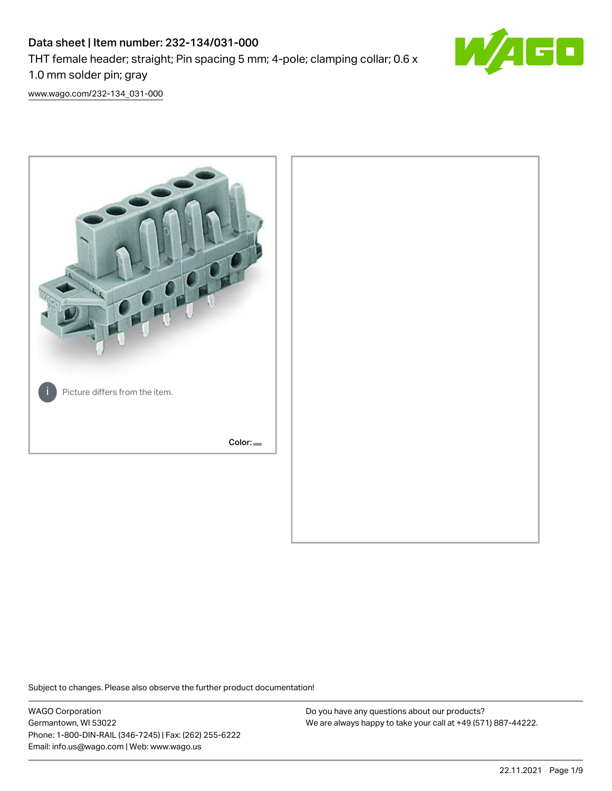# Data sheet | Item number: 232-134/031-000 THT female header; straight; Pin spacing 5 mm; 4-pole; clamping collar; 0.6 x 1.0 mm solder pin; gray



[www.wago.com/232-134\\_031-000](http://www.wago.com/232-134_031-000)



Subject to changes. Please also observe the further product documentation!

WAGO Corporation Germantown, WI 53022 Phone: 1-800-DIN-RAIL (346-7245) | Fax: (262) 255-6222 Email: info.us@wago.com | Web: www.wago.us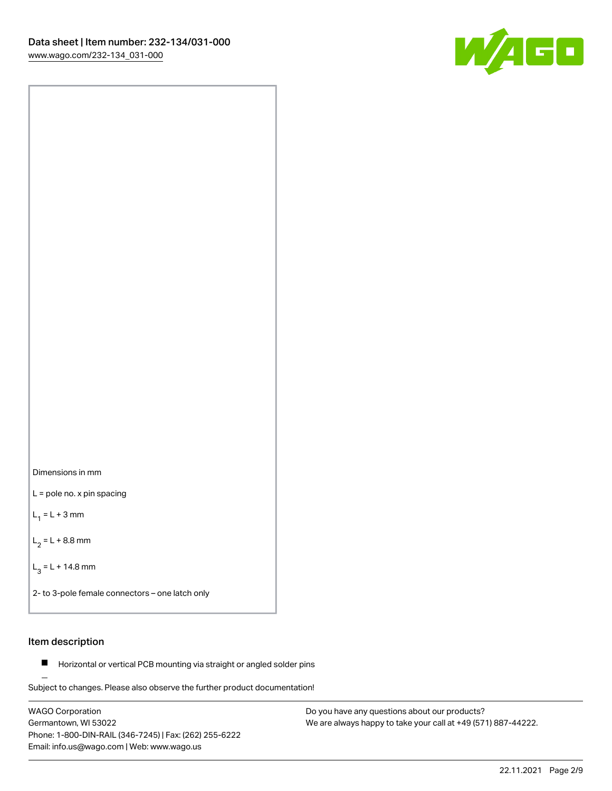



L = pole no. x pin spacing

 $L_1 = L + 3$  mm

 $L_2 = L + 8.8$  mm

 $L_3 = L + 14.8$  mm

2- to 3-pole female connectors – one latch only

# Item description

**Horizontal or vertical PCB mounting via straight or angled solder pins** 

Subject to changes. Please also observe the further product documentation! For board-to-board and board-to-wire connections

WAGO Corporation Germantown, WI 53022 Phone: 1-800-DIN-RAIL (346-7245) | Fax: (262) 255-6222 Email: info.us@wago.com | Web: www.wago.us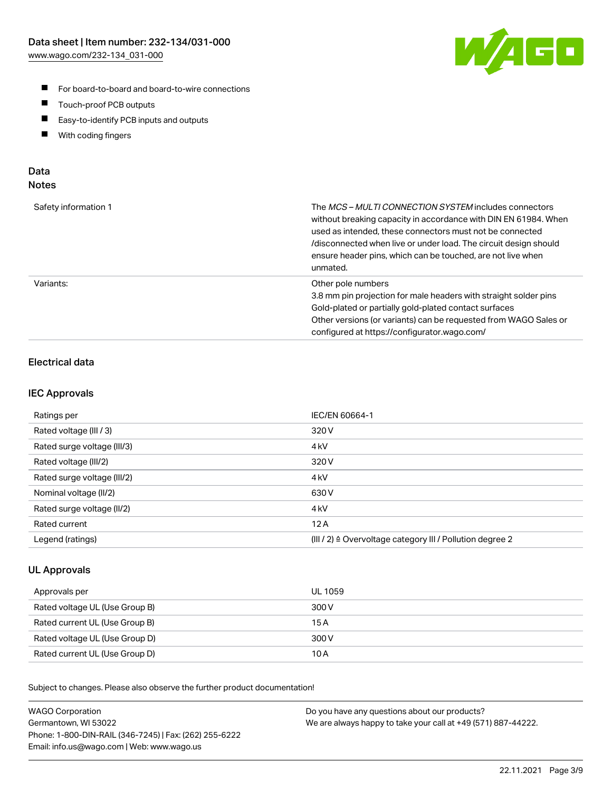

- For board-to-board and board-to-wire connections
- $\blacksquare$ Touch-proof PCB outputs
- $\blacksquare$ Easy-to-identify PCB inputs and outputs
- $\blacksquare$ With coding fingers

### Data **Notes**

| Safety information 1 | The <i>MCS – MULTI CONNECTION SYSTEM</i> includes connectors<br>without breaking capacity in accordance with DIN EN 61984. When<br>used as intended, these connectors must not be connected<br>/disconnected when live or under load. The circuit design should<br>ensure header pins, which can be touched, are not live when<br>unmated. |
|----------------------|--------------------------------------------------------------------------------------------------------------------------------------------------------------------------------------------------------------------------------------------------------------------------------------------------------------------------------------------|
| Variants:            | Other pole numbers<br>3.8 mm pin projection for male headers with straight solder pins<br>Gold-plated or partially gold-plated contact surfaces<br>Other versions (or variants) can be requested from WAGO Sales or<br>configured at https://configurator.wago.com/                                                                        |

# Electrical data

### IEC Approvals

| Ratings per                 | IEC/EN 60664-1                                                        |
|-----------------------------|-----------------------------------------------------------------------|
| Rated voltage (III / 3)     | 320 V                                                                 |
| Rated surge voltage (III/3) | 4 <sub>k</sub> V                                                      |
| Rated voltage (III/2)       | 320 V                                                                 |
| Rated surge voltage (III/2) | 4 <sub>k</sub> V                                                      |
| Nominal voltage (II/2)      | 630 V                                                                 |
| Rated surge voltage (II/2)  | 4 <sub>k</sub> V                                                      |
| Rated current               | 12A                                                                   |
| Legend (ratings)            | $(III / 2)$ $\triangle$ Overvoltage category III / Pollution degree 2 |

### UL Approvals

| Approvals per                  | UL 1059 |
|--------------------------------|---------|
| Rated voltage UL (Use Group B) | 300 V   |
| Rated current UL (Use Group B) | 15 A    |
| Rated voltage UL (Use Group D) | 300 V   |
| Rated current UL (Use Group D) | 10 A    |

| <b>WAGO Corporation</b>                                | Do you have any questions about our products?                 |
|--------------------------------------------------------|---------------------------------------------------------------|
| Germantown, WI 53022                                   | We are always happy to take your call at +49 (571) 887-44222. |
| Phone: 1-800-DIN-RAIL (346-7245)   Fax: (262) 255-6222 |                                                               |
| Email: info.us@wago.com   Web: www.wago.us             |                                                               |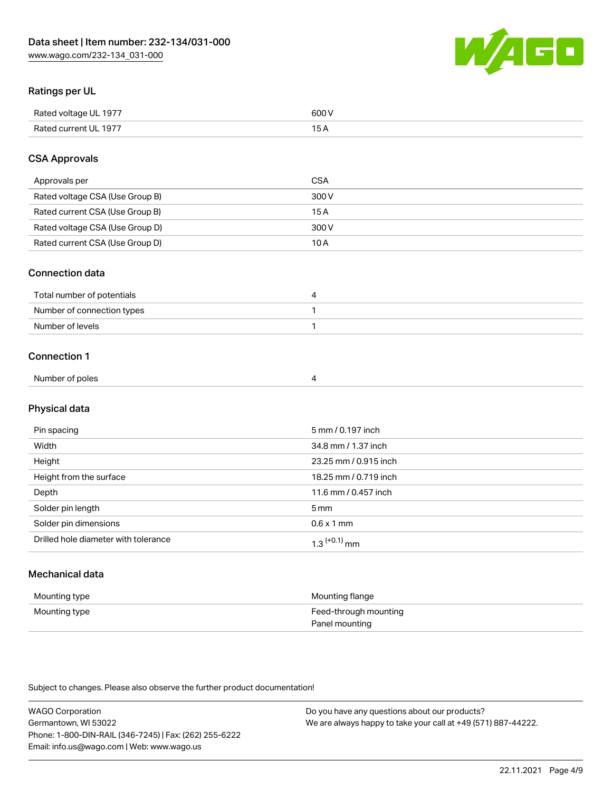

# Ratings per UL

| Rated voltage UL 1977  | coo 1 |
|------------------------|-------|
| <b>Rate</b><br>III 197 | ັ     |

# CSA Approvals

| Approvals per                   | <b>CSA</b> |
|---------------------------------|------------|
| Rated voltage CSA (Use Group B) | 300 V      |
| Rated current CSA (Use Group B) | 15 A       |
| Rated voltage CSA (Use Group D) | 300 V      |
| Rated current CSA (Use Group D) | 10 A       |

#### Connection data

| Total number of potentials |  |
|----------------------------|--|
| Number of connection types |  |
| Number of levels           |  |

#### Connection 1

| Number of poles |  |
|-----------------|--|

# Physical data

| Pin spacing                          | 5 mm / 0.197 inch     |
|--------------------------------------|-----------------------|
| Width                                | 34.8 mm / 1.37 inch   |
| Height                               | 23.25 mm / 0.915 inch |
| Height from the surface              | 18.25 mm / 0.719 inch |
| Depth                                | 11.6 mm / 0.457 inch  |
| Solder pin length                    | 5 <sub>mm</sub>       |
| Solder pin dimensions                | $0.6 \times 1$ mm     |
| Drilled hole diameter with tolerance | $1.3$ $(+0.1)$ mm     |

# Mechanical data

| Mounting type | Mounting flange                         |
|---------------|-----------------------------------------|
| Mounting type | Feed-through mounting<br>Panel mounting |

| <b>WAGO Corporation</b>                                | Do you have any questions about our products?                 |
|--------------------------------------------------------|---------------------------------------------------------------|
| Germantown, WI 53022                                   | We are always happy to take your call at +49 (571) 887-44222. |
| Phone: 1-800-DIN-RAIL (346-7245)   Fax: (262) 255-6222 |                                                               |
| Email: info.us@wago.com   Web: www.wago.us             |                                                               |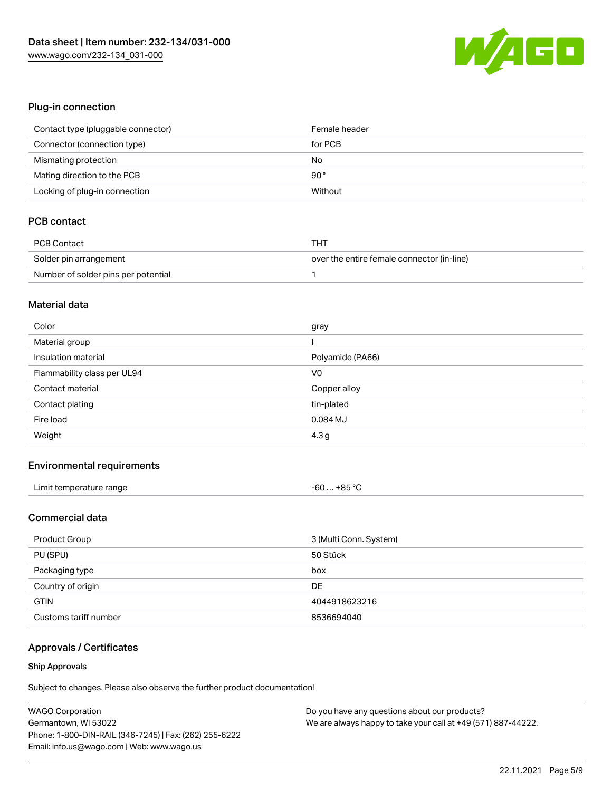

# Plug-in connection

| Contact type (pluggable connector) | Female header |
|------------------------------------|---------------|
| Connector (connection type)        | for PCB       |
| Mismating protection               | No            |
| Mating direction to the PCB        | $90^{\circ}$  |
| Locking of plug-in connection      | Without       |

# PCB contact

| PCB Contact                         | тнт                                        |
|-------------------------------------|--------------------------------------------|
| Solder pin arrangement              | over the entire female connector (in-line) |
| Number of solder pins per potential |                                            |

#### Material data

| Color                       | gray             |
|-----------------------------|------------------|
| Material group              |                  |
| Insulation material         | Polyamide (PA66) |
| Flammability class per UL94 | V <sub>0</sub>   |
| Contact material            | Copper alloy     |
| Contact plating             | tin-plated       |
| Fire load                   | 0.084 MJ         |
| Weight                      | 4.3 <sub>g</sub> |

#### Environmental requirements

| Limit temperature range | $-60+85 °C$ |
|-------------------------|-------------|
|-------------------------|-------------|

# Commercial data

| Product Group         | 3 (Multi Conn. System) |
|-----------------------|------------------------|
| PU (SPU)              | 50 Stück               |
| Packaging type        | box                    |
| Country of origin     | DE                     |
| <b>GTIN</b>           | 4044918623216          |
| Customs tariff number | 8536694040             |

# Approvals / Certificates

#### Ship Approvals

| <b>WAGO Corporation</b>                                | Do you have any questions about our products?                 |
|--------------------------------------------------------|---------------------------------------------------------------|
| Germantown, WI 53022                                   | We are always happy to take your call at +49 (571) 887-44222. |
| Phone: 1-800-DIN-RAIL (346-7245)   Fax: (262) 255-6222 |                                                               |
| Email: info.us@wago.com   Web: www.wago.us             |                                                               |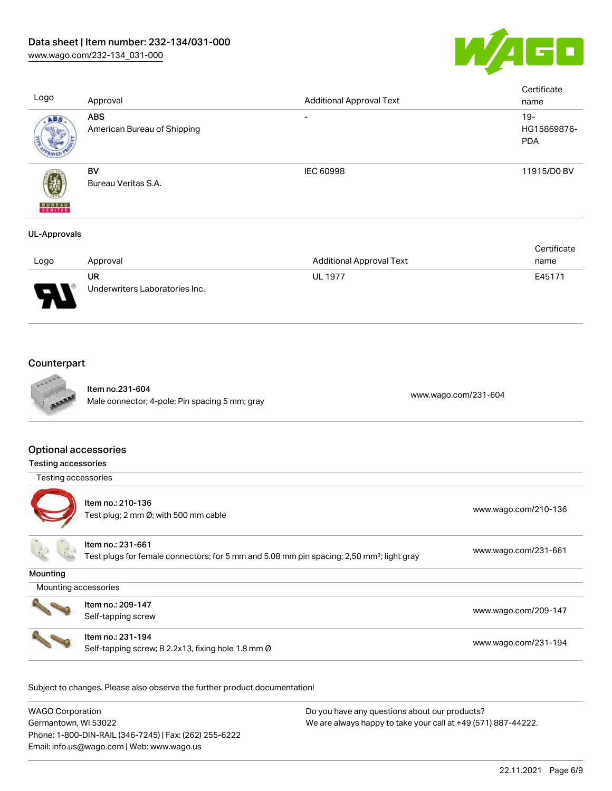

| Logo                     | Approval                                  | <b>Additional Approval Text</b> | Certificate<br>name                 |
|--------------------------|-------------------------------------------|---------------------------------|-------------------------------------|
| ABS                      | <b>ABS</b><br>American Bureau of Shipping | $\overline{\phantom{a}}$        | $19 -$<br>HG15869876-<br><b>PDA</b> |
| <b>BUREAU</b><br>VERITAS | BV<br>Bureau Veritas S.A.                 | IEC 60998                       | 11915/D0 BV                         |
| <b>UL-Approvals</b>      |                                           |                                 |                                     |

|                               |                                |                          | Certificate |
|-------------------------------|--------------------------------|--------------------------|-------------|
| Logo                          | Approval                       | Additional Approval Text | name        |
|                               | UR                             | <b>UL 1977</b>           | E45171      |
| J<br>$\overline{\phantom{a}}$ | Underwriters Laboratories Inc. |                          |             |

# **Counterpart**



Item no.231-604 nem no.251-604<br>Male connector; 4-pole; Pin spacing 5 mm; gray [www.wago.com/231-604](https://www.wago.com/231-604)

### Optional accessories

| <b>Testing accessories</b> |                                                                                                                            |                      |
|----------------------------|----------------------------------------------------------------------------------------------------------------------------|----------------------|
| Testing accessories        |                                                                                                                            |                      |
|                            | Item no.: 210-136<br>Test plug; 2 mm $\varnothing$ ; with 500 mm cable                                                     | www.wago.com/210-136 |
|                            | Item no.: 231-661<br>Test plugs for female connectors; for 5 mm and 5.08 mm pin spacing; 2,50 mm <sup>2</sup> ; light gray | www.wago.com/231-661 |
| Mounting                   |                                                                                                                            |                      |
| Mounting accessories       |                                                                                                                            |                      |
|                            | Item no.: 209-147<br>Self-tapping screw                                                                                    | www.wago.com/209-147 |
|                            | Item no.: 231-194<br>Self-tapping screw; B 2.2x13, fixing hole 1.8 mm Ø                                                    | www.wago.com/231-194 |

| WAGO Corporation                                       | Do you have any questions about our products?                 |
|--------------------------------------------------------|---------------------------------------------------------------|
| Germantown, WI 53022                                   | We are always happy to take your call at +49 (571) 887-44222. |
| Phone: 1-800-DIN-RAIL (346-7245)   Fax: (262) 255-6222 |                                                               |
| Email: info.us@wago.com   Web: www.wago.us             |                                                               |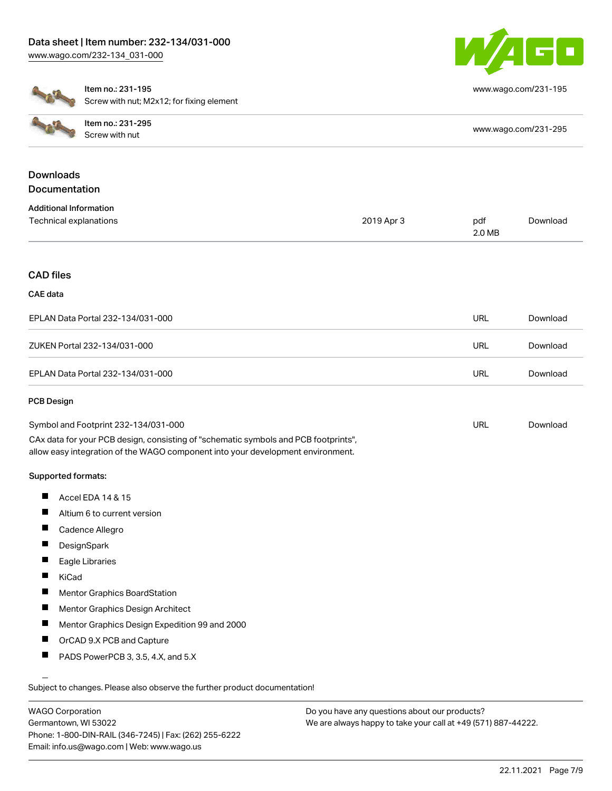

[www.wago.com/231-195](http://www.wago.com/231-195)



Item no.: 231-195 Screw with nut; M2x12; for fixing element

| $-47$            | Item no.: 231-295<br>Screw with nut | www.wago.com/231-295 |
|------------------|-------------------------------------|----------------------|
| <b>Downloads</b> |                                     |                      |

| Documentation                     |            |               |          |
|-----------------------------------|------------|---------------|----------|
| <b>Additional Information</b>     |            |               |          |
| Technical explanations            | 2019 Apr 3 | pdf<br>2.0 MB | Download |
|                                   |            |               |          |
| <b>CAD files</b>                  |            |               |          |
| CAE data                          |            |               |          |
| EPLAN Data Portal 232-134/031-000 |            | <b>URL</b>    | Download |
| ZUKEN Portal 232-134/031-000      |            | <b>URL</b>    | Download |
| EPLAN Data Portal 232-134/031-000 |            | <b>URL</b>    | Download |

#### PCB Design

| Symbol and Footprint 232-134/031-000                                                | URL | Download |
|-------------------------------------------------------------------------------------|-----|----------|
| CAx data for your PCB design, consisting of "schematic symbols and PCB footprints", |     |          |
| allow easy integration of the WAGO component into your development environment.     |     |          |

#### Supported formats:

- $\blacksquare$ Accel EDA 14 & 15
- $\blacksquare$ Altium 6 to current version
- $\blacksquare$ Cadence Allegro
- $\blacksquare$ **DesignSpark**
- $\blacksquare$ Eagle Libraries
- $\blacksquare$ KiCad
- $\blacksquare$ Mentor Graphics BoardStation
- $\blacksquare$ Mentor Graphics Design Architect
- П Mentor Graphics Design Expedition 99 and 2000
- П OrCAD 9.X PCB and Capture
- $\blacksquare$ PADS PowerPCB 3, 3.5, 4.X, and 5.X

Subject to changes. Please also observe the further product documentation!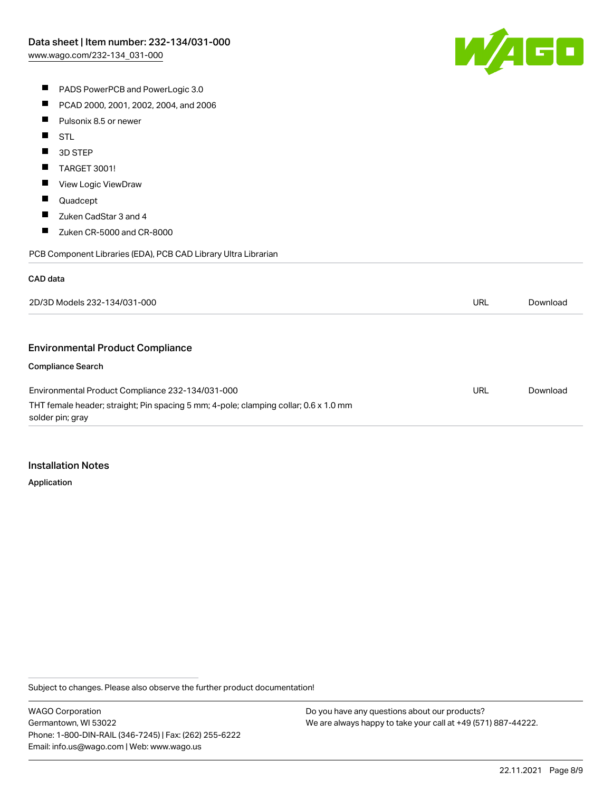

- **PADS PowerPCB and PowerLogic 3.0**
- $\blacksquare$ PCAD 2000, 2001, 2002, 2004, and 2006
- $\blacksquare$ Pulsonix 8.5 or newer
- $\blacksquare$ STL
- П 3D STEP
- $\blacksquare$ TARGET 3001!
- $\blacksquare$ View Logic ViewDraw
- $\blacksquare$ Quadcept
- $\blacksquare$ Zuken CadStar 3 and 4
- $\blacksquare$ Zuken CR-5000 and CR-8000

PCB Component Libraries (EDA), PCB CAD Library Ultra Librarian

#### CAD data

| 2D/3D Models 232-134/031-000                                                                             | URL | Download |
|----------------------------------------------------------------------------------------------------------|-----|----------|
|                                                                                                          |     |          |
| <b>Environmental Product Compliance</b>                                                                  |     |          |
| <b>Compliance Search</b>                                                                                 |     |          |
| Environmental Product Compliance 232-134/031-000                                                         | URL | Download |
| THT female header; straight; Pin spacing 5 mm; 4-pole; clamping collar; 0.6 x 1.0 mm<br>solder pin; gray |     |          |

#### Installation Notes

Application

Subject to changes. Please also observe the further product documentation!

WAGO Corporation Germantown, WI 53022 Phone: 1-800-DIN-RAIL (346-7245) | Fax: (262) 255-6222 Email: info.us@wago.com | Web: www.wago.us